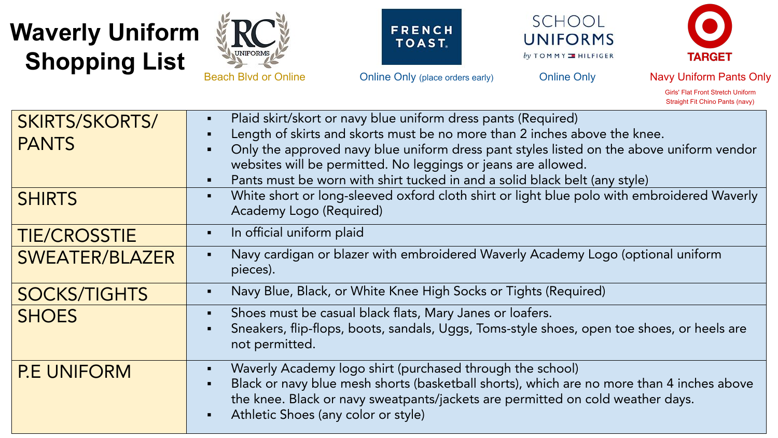## **Waverly Uniform Shopping List**







**UNIFORMS** by TOMMY I HILFIGER

SCHOOL



 Girls' Flat Front Stretch Uniform Straight Fit Chino Pants (navy)

| <b>SKIRTS/SKORTS/</b><br><b>PANTS</b> | Plaid skirt/skort or navy blue uniform dress pants (Required)<br>$\blacksquare$<br>Length of skirts and skorts must be no more than 2 inches above the knee.<br>Only the approved navy blue uniform dress pant styles listed on the above uniform vendor<br>٠<br>websites will be permitted. No leggings or jeans are allowed.<br>Pants must be worn with shirt tucked in and a solid black belt (any style)<br>٠ |
|---------------------------------------|-------------------------------------------------------------------------------------------------------------------------------------------------------------------------------------------------------------------------------------------------------------------------------------------------------------------------------------------------------------------------------------------------------------------|
| <b>SHIRTS</b>                         | White short or long-sleeved oxford cloth shirt or light blue polo with embroidered Waverly<br>$\blacksquare$<br>Academy Logo (Required)                                                                                                                                                                                                                                                                           |
| <b>TIE/CROSSTIE</b>                   | In official uniform plaid<br>$\blacksquare$                                                                                                                                                                                                                                                                                                                                                                       |
| <b>SWEATER/BLAZER</b>                 | Navy cardigan or blazer with embroidered Waverly Academy Logo (optional uniform<br>$\blacksquare$<br>pieces).                                                                                                                                                                                                                                                                                                     |
| <b>SOCKS/TIGHTS</b>                   | Navy Blue, Black, or White Knee High Socks or Tights (Required)<br>$\blacksquare$                                                                                                                                                                                                                                                                                                                                 |
| <b>SHOES</b>                          | Shoes must be casual black flats, Mary Janes or loafers.<br>$\blacksquare$<br>Sneakers, flip-flops, boots, sandals, Uggs, Toms-style shoes, open toe shoes, or heels are<br>$\blacksquare$<br>not permitted.                                                                                                                                                                                                      |
| <b>P.E UNIFORM</b>                    | Waverly Academy logo shirt (purchased through the school)<br>Black or navy blue mesh shorts (basketball shorts), which are no more than 4 inches above<br>the knee. Black or navy sweatpants/jackets are permitted on cold weather days.<br>Athletic Shoes (any color or style)<br>$\blacksquare$                                                                                                                 |